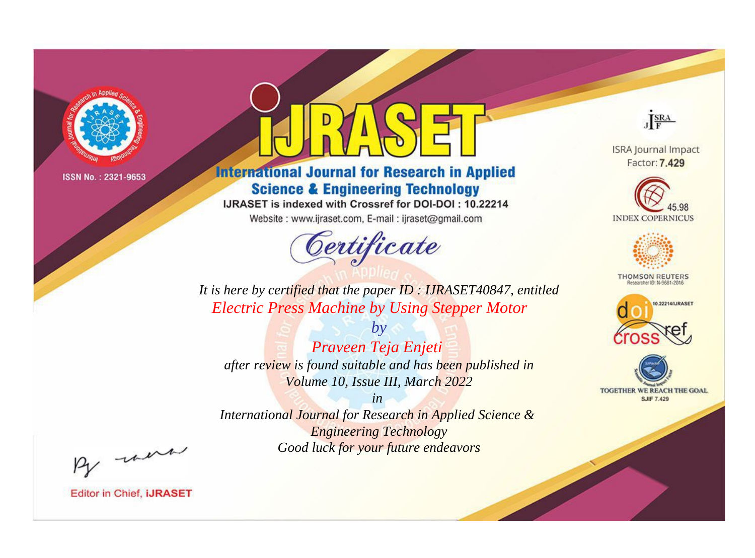

# **International Journal for Research in Applied Science & Engineering Technology**

IJRASET is indexed with Crossref for DOI-DOI: 10.22214

Website: www.ijraset.com, E-mail: ijraset@gmail.com



JERA

**ISRA Journal Impact** Factor: 7.429





**THOMSON REUTERS** 



TOGETHER WE REACH THE GOAL **SJIF 7.429** 

*It is here by certified that the paper ID : IJRASET40847, entitled Electric Press Machine by Using Stepper Motor*

*Praveen Teja Enjeti after review is found suitable and has been published in Volume 10, Issue III, March 2022*

*by*

*in* 

*International Journal for Research in Applied Science & Engineering Technology Good luck for your future endeavors*

By morn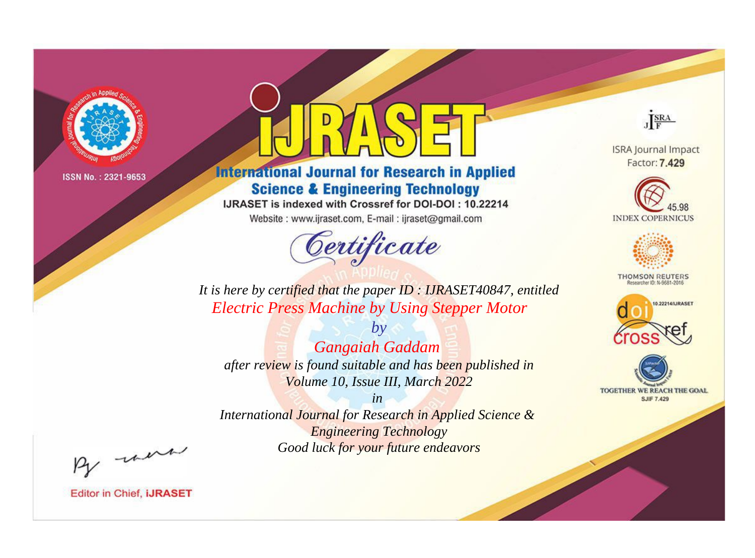

# **International Journal for Research in Applied Science & Engineering Technology**

IJRASET is indexed with Crossref for DOI-DOI: 10.22214

Website: www.ijraset.com, E-mail: ijraset@gmail.com



JERA

**ISRA Journal Impact** Factor: 7.429





**THOMSON REUTERS** 



TOGETHER WE REACH THE GOAL **SJIF 7.429** 

It is here by certified that the paper ID: IJRASET40847, entitled **Electric Press Machine by Using Stepper Motor** 

**Gangaiah Gaddam** after review is found suitable and has been published in Volume 10, Issue III, March 2022

 $b\nu$ 

 $in$ International Journal for Research in Applied Science & **Engineering Technology** Good luck for your future endeavors

By morn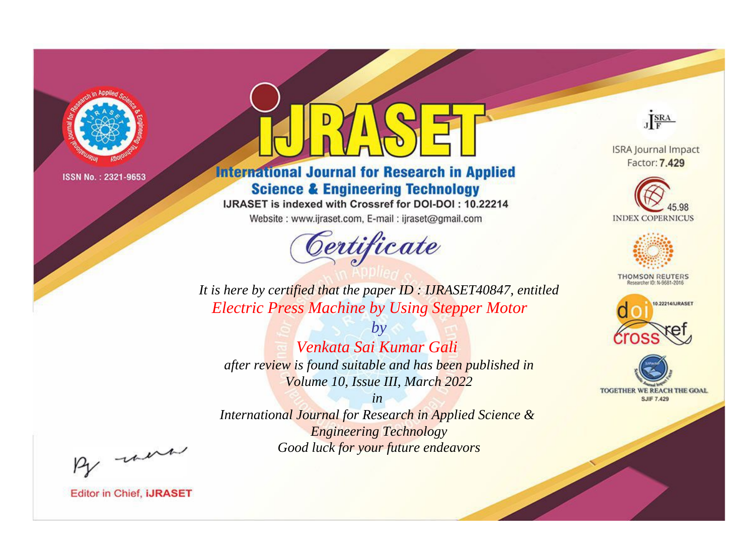

# **International Journal for Research in Applied Science & Engineering Technology**

IJRASET is indexed with Crossref for DOI-DOI: 10.22214

Website: www.ijraset.com, E-mail: ijraset@gmail.com



JERA

**ISRA Journal Impact** Factor: 7.429





**THOMSON REUTERS** 



TOGETHER WE REACH THE GOAL **SJIF 7.429** 

It is here by certified that the paper ID: IJRASET40847, entitled **Electric Press Machine by Using Stepper Motor** 

Venkata Sai Kumar Gali after review is found suitable and has been published in Volume 10, Issue III, March 2022

 $bv$ 

 $in$ International Journal for Research in Applied Science & **Engineering Technology** Good luck for your future endeavors

By morn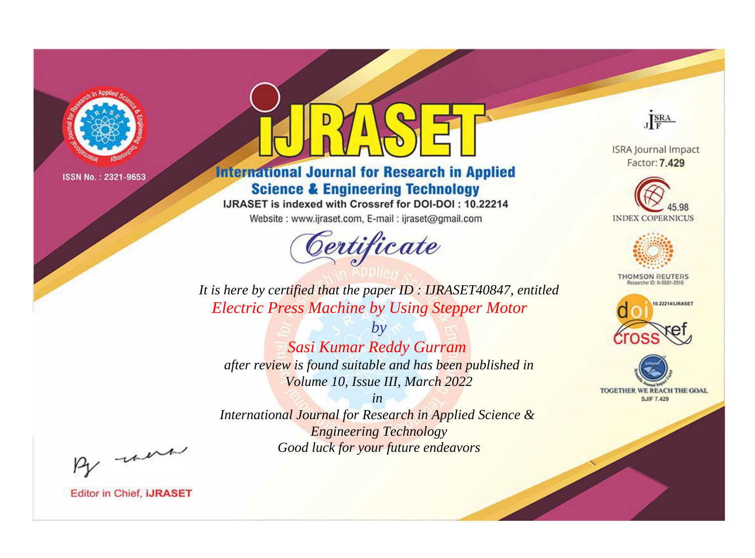

# **International Journal for Research in Applied Science & Engineering Technology**

IJRASET is indexed with Crossref for DOI-DOI: 10.22214

Website: www.ijraset.com, E-mail: ijraset@gmail.com



JERA

**ISRA Journal Impact** Factor: 7.429





**THOMSON REUTERS** 



TOGETHER WE REACH THE GOAL **SJIF 7.429** 

*It is here by certified that the paper ID : IJRASET40847, entitled Electric Press Machine by Using Stepper Motor*

*by Sasi Kumar Reddy Gurram after review is found suitable and has been published in Volume 10, Issue III, March 2022*

*in* 

*International Journal for Research in Applied Science & Engineering Technology Good luck for your future endeavors*

By morn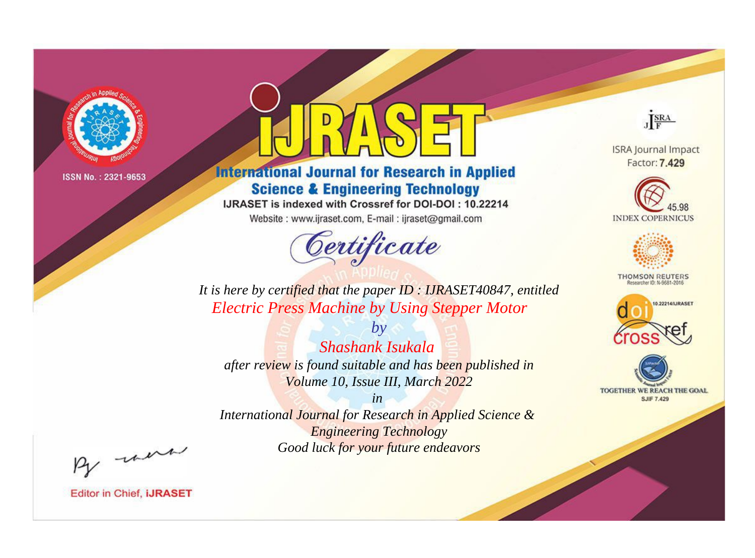

# **International Journal for Research in Applied Science & Engineering Technology**

IJRASET is indexed with Crossref for DOI-DOI: 10.22214

Website: www.ijraset.com, E-mail: ijraset@gmail.com



JERA

**ISRA Journal Impact** Factor: 7.429





**THOMSON REUTERS** 



TOGETHER WE REACH THE GOAL **SJIF 7.429** 

*It is here by certified that the paper ID : IJRASET40847, entitled Electric Press Machine by Using Stepper Motor*

*by Shashank Isukala after review is found suitable and has been published in Volume 10, Issue III, March 2022*

*in* 

*International Journal for Research in Applied Science & Engineering Technology Good luck for your future endeavors*

By morn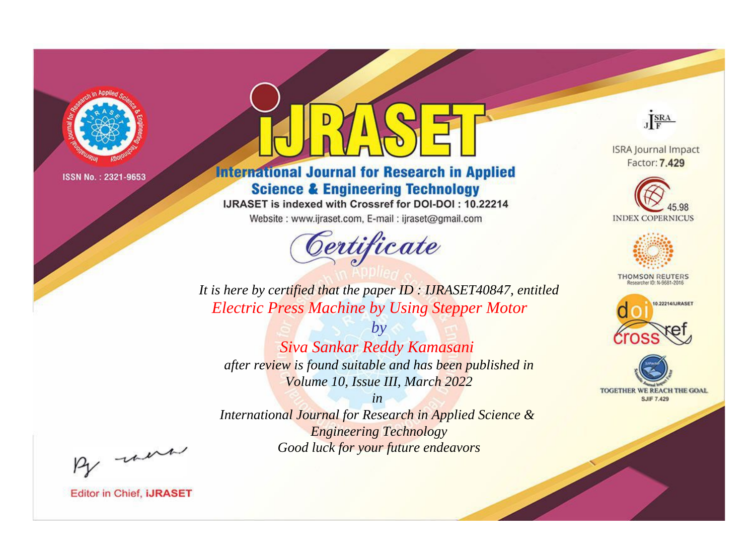

# **International Journal for Research in Applied Science & Engineering Technology**

IJRASET is indexed with Crossref for DOI-DOI: 10.22214

Website: www.ijraset.com, E-mail: ijraset@gmail.com



JERA

**ISRA Journal Impact** Factor: 7.429





**THOMSON REUTERS** 



TOGETHER WE REACH THE GOAL **SJIF 7.429** 

*It is here by certified that the paper ID : IJRASET40847, entitled Electric Press Machine by Using Stepper Motor*

*Siva Sankar Reddy Kamasani after review is found suitable and has been published in Volume 10, Issue III, March 2022*

*by*

*in International Journal for Research in Applied Science &* 

*Engineering Technology Good luck for your future endeavors*

By morn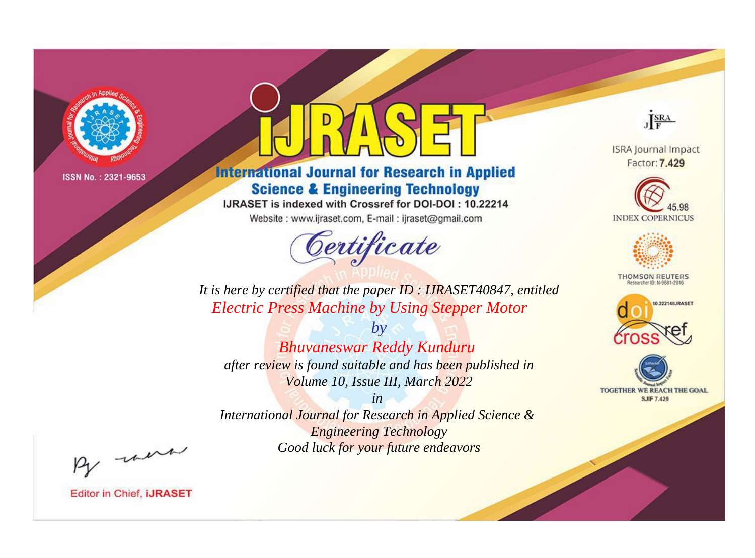

# **International Journal for Research in Applied Science & Engineering Technology**

IJRASET is indexed with Crossref for DOI-DOI: 10.22214

Website: www.ijraset.com, E-mail: ijraset@gmail.com



JERA

**ISRA Journal Impact** Factor: 7.429





**THOMSON REUTERS** 



TOGETHER WE REACH THE GOAL **SJIF 7.429** 

It is here by certified that the paper ID: IJRASET40847, entitled **Electric Press Machine by Using Stepper Motor** 

 $by$ **Bhuvaneswar Reddy Kunduru** after review is found suitable and has been published in Volume 10, Issue III, March 2022

 $in$ International Journal for Research in Applied Science & **Engineering Technology** Good luck for your future endeavors

By morn